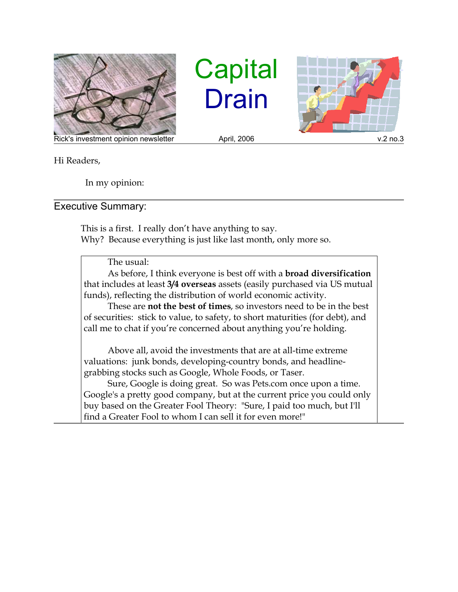

**Capital Drain** 



Hi Readers,

In my opinion:

## Executive Summary:

This is a first. I really don't have anything to say. Why? Because everything is just like last month, only more so.

The usual:

As before, I think everyone is best off with a **broad diversification** that includes at least **3/4 overseas** assets (easily purchased via US mutual funds), reflecting the distribution of world economic activity.

These are **not the best of times**, so investors need to be in the best of securities: stick to value, to safety, to short maturities (for debt), and call me to chat if you're concerned about anything you're holding.

Above all, avoid the investments that are at all-time extreme valuations: junk bonds, developing-country bonds, and headlinegrabbing stocks such as Google, Whole Foods, or Taser.

Sure, Google is doing great. So was Pets.com once upon a time. Google's a pretty good company, but at the current price you could only buy based on the Greater Fool Theory: "Sure, I paid too much, but I'll find a Greater Fool to whom I can sell it for even more!"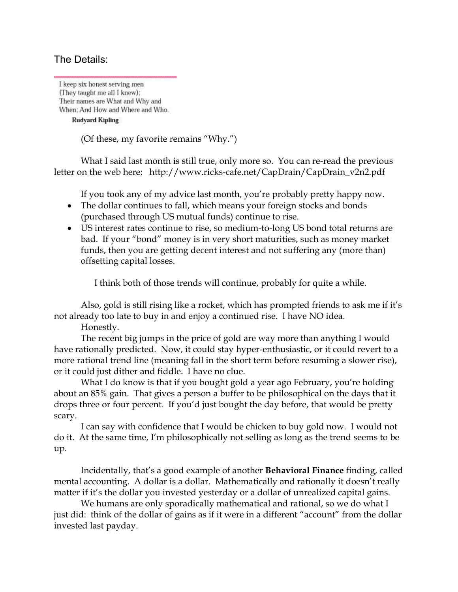## The Details:

I keep six honest serving men (They taught me all I knew); Their names are What and Why and When; And How and Where and Who.

**Rudyard Kipling** 

(Of these, my favorite remains "Why.")

What I said last month is still true, only more so. You can re-read the previous letter on the web here: http://www.ricks-cafe.net/CapDrain/CapDrain\_v2n2.pdf

If you took any of my advice last month, you're probably pretty happy now.

- The dollar continues to fall, which means your foreign stocks and bonds (purchased through US mutual funds) continue to rise.
- US interest rates continue to rise, so medium-to-long US bond total returns are bad. If your "bond" money is in very short maturities, such as money market funds, then you are getting decent interest and not suffering any (more than) offsetting capital losses.

I think both of those trends will continue, probably for quite a while.

Also, gold is still rising like a rocket, which has prompted friends to ask me if it's not already too late to buy in and enjoy a continued rise. I have NO idea.

Honestly.

The recent big jumps in the price of gold are way more than anything I would have rationally predicted. Now, it could stay hyper-enthusiastic, or it could revert to a more rational trend line (meaning fall in the short term before resuming a slower rise), or it could just dither and fiddle. I have no clue.

What I do know is that if you bought gold a year ago February, you're holding about an 85% gain. That gives a person a buffer to be philosophical on the days that it drops three or four percent. If you'd just bought the day before, that would be pretty scary.

I can say with confidence that I would be chicken to buy gold now. I would not do it. At the same time, I'm philosophically not selling as long as the trend seems to be up.

Incidentally, that's a good example of another **Behavioral Finance** finding, called mental accounting. A dollar is a dollar. Mathematically and rationally it doesn't really matter if it's the dollar you invested yesterday or a dollar of unrealized capital gains.

We humans are only sporadically mathematical and rational, so we do what I just did: think of the dollar of gains as if it were in a different "account" from the dollar invested last payday.